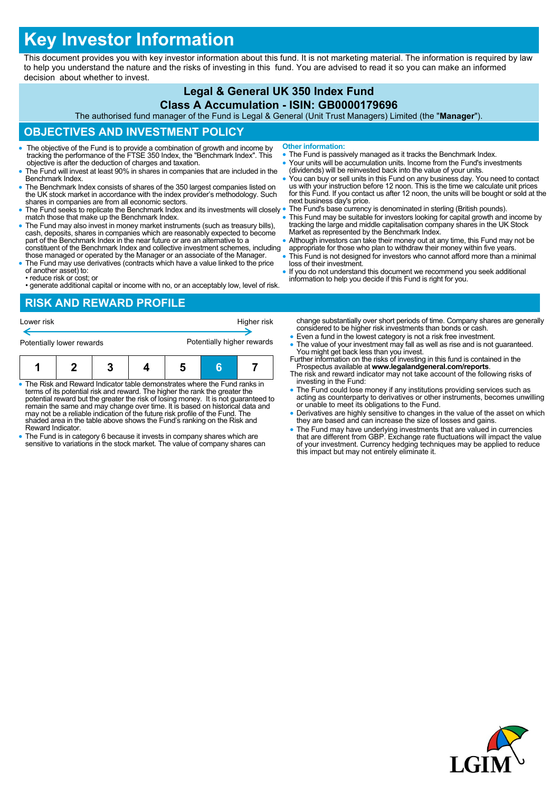# **Key Investor Information**

This document provides you with key investor information about this fund. It is not marketing material. The information is required by law to help you understand the nature and the risks of investing in this fund. You are advised to read it so you can make an informed decision about whether to invest.

## **Legal & General UK 350 Index Fund**

#### **Class A Accumulation - ISIN: GB0000179696**

The authorised fund manager of the Fund is Legal & General (Unit Trust Managers) Limited (the "**Manager**").

## **OBJECTIVES AND INVESTMENT POLICY**

- The objective of the Fund is to provide a combination of growth and income by tracking the performance of the FTSE 350 Index, the "Benchmark Index". This objective is after the deduction of charges and taxation.
- The Fund will invest at least 90% in shares in companies that are included in the Benchmark Index.
- The Benchmark Index consists of shares of the 350 largest companies listed on the UK stock market in accordance with the index provider's methodology. Such shares in companies are from all economic sectors.
- The Fund seeks to replicate the Benchmark Index and its investments will closely . match those that make up the Benchmark Index.
- The Fund may also invest in money market instruments (such as treasury bills), cash, deposits, shares in companies which are reasonably expected to become part of the Benchmark Index in the near future or are an alternat constituent of the Benchmark Index and collective investment schemes, including
- those managed or operated by the Manager or an associate of the Manager. The Fund may use derivatives (contracts which have a value linked to the price
- of another asset) to: • reduce risk or cost; or
- generate additional capital or income with no, or an acceptably low, level of risk.

## **RISK AND REWARD PROFILE**

| Lower risk                |  |   |  |                            |   | Higher risk |  |
|---------------------------|--|---|--|----------------------------|---|-------------|--|
| Potentially lower rewards |  |   |  | Potentially higher rewards |   |             |  |
|                           |  | 3 |  |                            | G |             |  |

- The Risk and Reward Indicator table demonstrates where the Fund ranks in terms of its potential risk and reward. The higher the rank the greater the potential reward but the greater the risk of losing money. It is not guaranteed to remain the same and may change over time. It is based on historical data and may not be a reliable indication of the future risk profile of the Fund. The shaded area in the table above shows the Fund's ranking on the Risk and Reward Indicator.
- The Fund is in category 6 because it invests in company shares which are sensitive to variations in the stock market. The value of company shares can
- **Other information:**
- The Fund is passively managed as it tracks the Benchmark Index.
- Your units will be accumulation units. Income from the Fund's investments (dividends) will be reinvested back into the value of your units.
- You can buy or sell units in this Fund on any business day. You need to contact<br>us with your instruction before 12 noon. This is the time we calculate unit prices<br>for this Fund. If you contact us after 12 noon, the units next business day's price.
- The Fund's base currency is denominated in sterling (British pounds).
- This Fund may be suitable for investors looking for capital growth and income by tracking the large and middle capitalisation company shares in the UK Stock Market as represented by the Benchmark Index.
- Although investors can take their money out at any time, this Fund may not be
- appropriate for those who plan to withdraw their money within five years. This Fund is not designed for investors who cannot afford more than a minimal loss of their investment.
- If you do not understand this document we recommend you seek additional information to help you decide if this Fund is right for you.

change substantially over short periods of time. Company shares are generally considered to be higher risk investments than bonds or cash.

- Even a fund in the lowest category is not a risk free investment.
- The value of your investment may fall as well as rise and is not guaranteed. You might get back less than you invest. Further information on the risks of investing in this fund is contained in the
- Prospectus available at **www.legalandgeneral.com/reports**. The risk and reward indicator may not take account of the following risks of
- investing in the Fund: The Fund could lose money if any institutions providing services such as acting as counterparty to derivatives or other instruments, becomes unwilling or unable to meet its obligations to the Fund.
- Derivatives are highly sensitive to changes in the value of the asset on which they are based and can increase the size of losses and gains.
- The Fund may have underlying investments that are valued in currencies<br>that are different from GBP. Exchange rate fluctuations will impact the value<br>of your investment. Currency hedging techniques may be applied to reduc